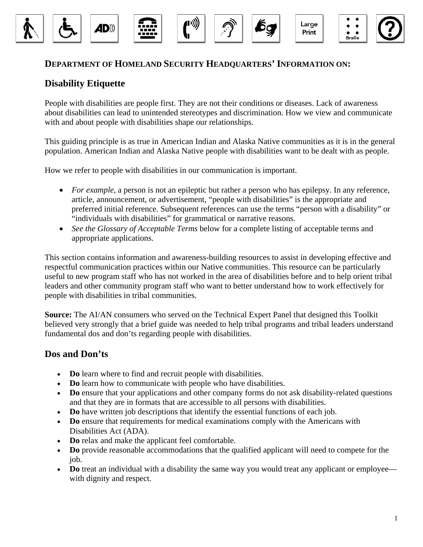

## **DEPARTMENT OF HOMELAND SECURITY HEADQUARTERS' INFORMATION ON:**

## **Disability Etiquette**

People with disabilities are people first. They are not their conditions or diseases. Lack of awareness about disabilities can lead to unintended stereotypes and discrimination. How we view and communicate with and about people with disabilities shape our relationships.

This guiding principle is as true in American Indian and Alaska Native communities as it is in the general population. American Indian and Alaska Native people with disabilities want to be dealt with as people.

How we refer to people with disabilities in our communication is important.

- *For example*, a person is not an epileptic but rather a person who has epilepsy. In any reference, article, announcement, or advertisement, "people with disabilities" is the appropriate and preferred initial reference. Subsequent references can use the terms "person with a disability" or "individuals with disabilities" for grammatical or narrative reasons.
- *See the Glossary of Acceptable Terms* below for a complete listing of acceptable terms and appropriate applications.

This section contains information and awareness-building resources to assist in developing effective and respectful communication practices within our Native communities. This resource can be particularly useful to new program staff who has not worked in the area of disabilities before and to help orient tribal leaders and other community program staff who want to better understand how to work effectively for people with disabilities in tribal communities.

**Source:** The AI/AN consumers who served on the Technical Expert Panel that designed this Toolkit believed very strongly that a brief guide was needed to help tribal programs and tribal leaders understand fundamental dos and don'ts regarding people with disabilities.

### **Dos and Don'ts**

- **Do** learn where to find and recruit people with disabilities.
- **Do** learn how to communicate with people who have disabilities.
- **Do** ensure that your applications and other company forms do not ask disability-related questions and that they are in formats that are accessible to all persons with disabilities.
- **Do** have written job descriptions that identify the essential functions of each job.
- **Do** ensure that requirements for medical examinations comply with the Americans with Disabilities Act (ADA).
- **Do** relax and make the applicant feel comfortable.
- **Do** provide reasonable accommodations that the qualified applicant will need to compete for the job.
- Do treat an individual with a disability the same way you would treat any applicant or employee with dignity and respect.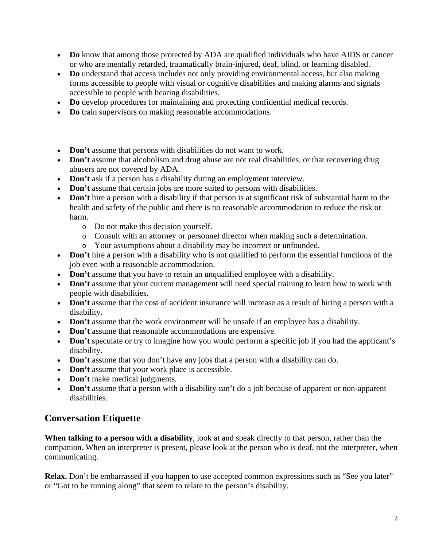- **Do** know that among those protected by ADA are qualified individuals who have AIDS or cancer or who are mentally retarded, traumatically brain-injured, deaf, blind, or learning disabled.
- **Do** understand that access includes not only providing environmental access, but also making forms accessible to people with visual or cognitive disabilities and making alarms and signals accessible to people with hearing disabilities.
- **Do** develop procedures for maintaining and protecting confidential medical records.
- **Do** train supervisors on making reasonable accommodations.
- **Don't** assume that persons with disabilities do not want to work.
- **Don't** assume that alcoholism and drug abuse are not real disabilities, or that recovering drug abusers are not covered by ADA.
- **Don't** ask if a person has a disability during an employment interview.
- **Don't** assume that certain jobs are more suited to persons with disabilities.
- **Don't** hire a person with a disability if that person is at significant risk of substantial harm to the health and safety of the public and there is no reasonable accommodation to reduce the risk or harm.
	- o Do not make this decision yourself.
	- o Consult with an attorney or personnel director when making such a determination.
	- o Your assumptions about a disability may be incorrect or unfounded.
- **Don't** hire a person with a disability who is not qualified to perform the essential functions of the job even with a reasonable accommodation.
- **Don't** assume that you have to retain an unqualified employee with a disability.
- **Don't** assume that your current management will need special training to learn how to work with people with disabilities.
- **Don't** assume that the cost of accident insurance will increase as a result of hiring a person with a disability.
- **Don't** assume that the work environment will be unsafe if an employee has a disability.
- **Don't** assume that reasonable accommodations are expensive.
- **Don't** speculate or try to imagine how you would perform a specific job if you had the applicant's disability.
- **Don't** assume that you don't have any jobs that a person with a disability can do.
- **Don't** assume that your work place is accessible.
- **Don't** make medical judgments.
- **Don't** assume that a person with a disability can't do a job because of apparent or non-apparent disabilities.

# **Conversation Etiquette**

**When talking to a person with a disability**, look at and speak directly to that person, rather than the companion. When an interpreter is present, please look at the person who is deaf, not the interpreter, when communicating.

Relax. Don't be embarrassed if you happen to use accepted common expressions such as "See you later" or "Got to be running along" that seem to relate to the person's disability.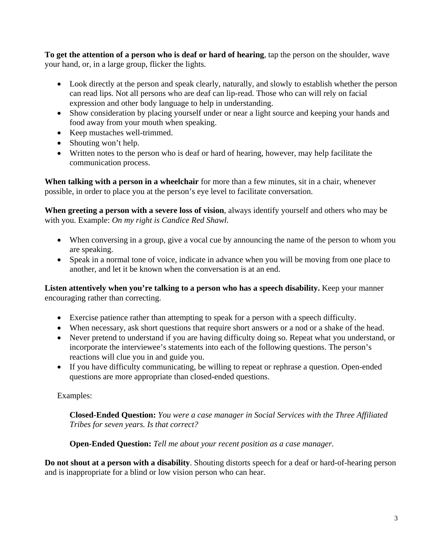**To get the attention of a person who is deaf or hard of hearing**, tap the person on the shoulder, wave your hand, or, in a large group, flicker the lights.

- Look directly at the person and speak clearly, naturally, and slowly to establish whether the person can read lips. Not all persons who are deaf can lip-read. Those who can will rely on facial expression and other body language to help in understanding.
- Show consideration by placing yourself under or near a light source and keeping your hands and food away from your mouth when speaking.
- Keep mustaches well-trimmed.
- Shouting won't help.
- Written notes to the person who is deaf or hard of hearing, however, may help facilitate the communication process.

**When talking with a person in a wheelchair** for more than a few minutes, sit in a chair, whenever possible, in order to place you at the person's eye level to facilitate conversation.

**When greeting a person with a severe loss of vision**, always identify yourself and others who may be with you. Example: *On my right is Candice Red Shawl*.

- When conversing in a group, give a vocal cue by announcing the name of the person to whom you are speaking.
- Speak in a normal tone of voice, indicate in advance when you will be moving from one place to another, and let it be known when the conversation is at an end.

**Listen attentively when you're talking to a person who has a speech disability.** Keep your manner encouraging rather than correcting.

- Exercise patience rather than attempting to speak for a person with a speech difficulty.
- When necessary, ask short questions that require short answers or a nod or a shake of the head.
- Never pretend to understand if you are having difficulty doing so. Repeat what you understand, or incorporate the interviewee's statements into each of the following questions. The person's reactions will clue you in and guide you.
- If you have difficulty communicating, be willing to repeat or rephrase a question. Open-ended questions are more appropriate than closed-ended questions.

Examples:

**Closed-Ended Question:** *You were a case manager in Social Services with the Three Affiliated Tribes for seven years. Is that correct?*

**Open-Ended Question:** *Tell me about your recent position as a case manager.*

**Do not shout at a person with a disability**. Shouting distorts speech for a deaf or hard-of-hearing person and is inappropriate for a blind or low vision person who can hear.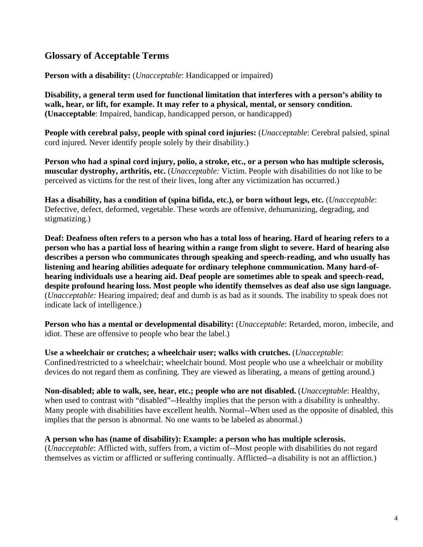## **Glossary of Acceptable Terms**

**Person with a disability:** (*Unacceptable*: Handicapped or impaired)

**Disability, a general term used for functional limitation that interferes with a person's ability to walk, hear, or lift, for example. It may refer to a physical, mental, or sensory condition. (Unacceptable**: Impaired, handicap, handicapped person, or handicapped)

**People with cerebral palsy, people with spinal cord injuries:** (*Unacceptable*: Cerebral palsied, spinal cord injured. Never identify people solely by their disability.)

**Person who had a spinal cord injury, polio, a stroke, etc., or a person who has multiple sclerosis, muscular dystrophy, arthritis, etc.** (*Unacceptable:* Victim. People with disabilities do not like to be perceived as victims for the rest of their lives, long after any victimization has occurred.)

**Has a disability, has a condition of (spina bifida, etc.), or born without legs, etc.** (*Unacceptable*: Defective, defect, deformed, vegetable. These words are offensive, dehumanizing, degrading, and stigmatizing.)

**Deaf: Deafness often refers to a person who has a total loss of hearing. Hard of hearing refers to a person who has a partial loss of hearing within a range from slight to severe. Hard of hearing also describes a person who communicates through speaking and speech-reading, and who usually has listening and hearing abilities adequate for ordinary telephone communication. Many hard-ofhearing individuals use a hearing aid. Deaf people are sometimes able to speak and speech-read, despite profound hearing loss. Most people who identify themselves as deaf also use sign language.** (*Unacceptable:* Hearing impaired; deaf and dumb is as bad as it sounds. The inability to speak does not indicate lack of intelligence.)

**Person who has a mental or developmental disability:** (*Unacceptable*: Retarded, moron, imbecile, and idiot. These are offensive to people who bear the label.)

**Use a wheelchair or crutches; a wheelchair user; walks with crutches.** (*Unacceptable*: Confined/restricted to a wheelchair; wheelchair bound. Most people who use a wheelchair or mobility devices do not regard them as confining. They are viewed as liberating, a means of getting around.)

**Non-disabled; able to walk, see, hear, etc.; people who are not disabled.** (*Unacceptable*: Healthy, when used to contrast with "disabled"--Healthy implies that the person with a disability is unhealthy. Many people with disabilities have excellent health. Normal--When used as the opposite of disabled, this implies that the person is abnormal. No one wants to be labeled as abnormal.)

#### **A person who has (name of disability): Example: a person who has multiple sclerosis.**

(*Unacceptable*: Afflicted with, suffers from, a victim of--Most people with disabilities do not regard themselves as victim or afflicted or suffering continually. Afflicted--a disability is not an affliction.)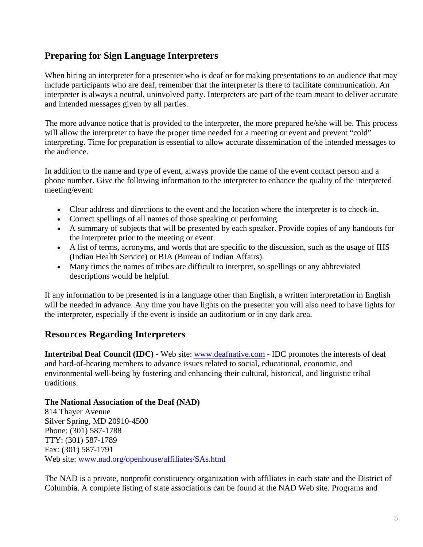# **Preparing for Sign Language Interpreters**

When hiring an interpreter for a presenter who is deaf or for making presentations to an audience that may include participants who are deaf, remember that the interpreter is there to facilitate communication. An interpreter is always a neutral, uninvolved party. Interpreters are part of the team meant to deliver accurate and intended messages given by all parties.

The more advance notice that is provided to the interpreter, the more prepared he/she will be. This process will allow the interpreter to have the proper time needed for a meeting or event and prevent "cold" interpreting. Time for preparation is essential to allow accurate dissemination of the intended messages to the audience.

In addition to the name and type of event, always provide the name of the event contact person and a phone number. Give the following information to the interpreter to enhance the quality of the interpreted meeting/event:

- Clear address and directions to the event and the location where the interpreter is to check-in.
- Correct spellings of all names of those speaking or performing.
- A summary of subjects that will be presented by each speaker. Provide copies of any handouts for the interpreter prior to the meeting or event.
- A list of terms, acronyms, and words that are specific to the discussion, such as the usage of IHS (Indian Health Service) or BIA (Bureau of Indian Affairs).
- Many times the names of tribes are difficult to interpret, so spellings or any abbreviated descriptions would be helpful.

If any information to be presented is in a language other than English, a written interpretation in English will be needed in advance. Any time you have lights on the presenter you will also need to have lights for the interpreter, especially if the event is inside an auditorium or in any dark area.

### **Resources Regarding Interpreters**

**Intertribal Deaf Council (IDC) -** Web site: [www.deafnative.com](http://www.deafnative.com/) - IDC promotes the interests of deaf and hard-of-hearing members to advance issues related to social, educational, economic, and environmental well-being by fostering and enhancing their cultural, historical, and linguistic tribal traditions.

### **The National Association of the Deaf (NAD)**

814 Thayer Avenue Silver Spring, MD 20910-4500 Phone: (301) 587-1788 TTY: (301) 587-1789 Fax: (301) 587-1791 Web site: [www.nad.org/openhouse/affiliates/SAs.html](http://www.nad.org/openhouse/affiliates/SAs.html)

The NAD is a private, nonprofit constituency organization with affiliates in each state and the District of Columbia. A complete listing of state associations can be found at the NAD Web site. Programs and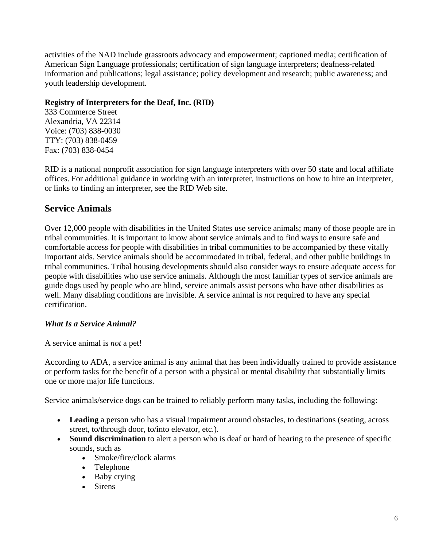activities of the NAD include grassroots advocacy and empowerment; captioned media; certification of American Sign Language professionals; certification of sign language interpreters; deafness-related information and publications; legal assistance; policy development and research; public awareness; and youth leadership development.

### **Registry of Interpreters for the Deaf, Inc. (RID)**

333 Commerce Street Alexandria, VA 22314 Voice: (703) 838-0030 TTY: (703) 838-0459 Fax: (703) 838-0454

RID is a national nonprofit association for sign language interpreters with over 50 state and local affiliate offices. For additional guidance in working with an interpreter, instructions on how to hire an interpreter, or links to finding an interpreter, see the RID Web site.

## **Service Animals**

Over 12,000 people with disabilities in the United States use service animals; many of those people are in tribal communities. It is important to know about service animals and to find ways to ensure safe and comfortable access for people with disabilities in tribal communities to be accompanied by these vitally important aids. Service animals should be accommodated in tribal, federal, and other public buildings in tribal communities. Tribal housing developments should also consider ways to ensure adequate access for people with disabilities who use service animals. Although the most familiar types of service animals are guide dogs used by people who are blind, service animals assist persons who have other disabilities as well. Many disabling conditions are invisible. A service animal is *not* required to have any special certification.

### *What Is a Service Animal?*

A service animal is *not* a pet!

According to ADA, a service animal is any animal that has been individually trained to provide assistance or perform tasks for the benefit of a person with a physical or mental disability that substantially limits one or more major life functions.

Service animals/service dogs can be trained to reliably perform many tasks, including the following:

- Leading a person who has a visual impairment around obstacles, to destinations (seating, across street, to/through door, to/into elevator, etc.).
- **Sound discrimination** to alert a person who is deaf or hard of hearing to the presence of specific sounds, such as
	- Smoke/fire/clock alarms
	- Telephone
	- Baby crying
	- **Sirens**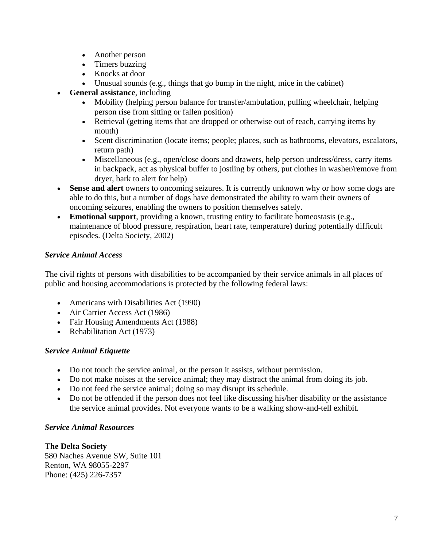- Another person
- Timers buzzing
- Knocks at door
- Unusual sounds (e.g., things that go bump in the night, mice in the cabinet)
- **General assistance**, including
	- Mobility (helping person balance for transfer/ambulation, pulling wheelchair, helping person rise from sitting or fallen position)
	- Retrieval (getting items that are dropped or otherwise out of reach, carrying items by mouth)
	- Scent discrimination (locate items; people; places, such as bathrooms, elevators, escalators, return path)
	- Miscellaneous (e.g., open/close doors and drawers, help person undress/dress, carry items in backpack, act as physical buffer to jostling by others, put clothes in washer/remove from dryer, bark to alert for help)
- **Sense and alert** owners to oncoming seizures. It is currently unknown why or how some dogs are able to do this, but a number of dogs have demonstrated the ability to warn their owners of oncoming seizures, enabling the owners to position themselves safely.
- **Emotional support**, providing a known, trusting entity to facilitate homeostasis (e.g., maintenance of blood pressure, respiration, heart rate, temperature) during potentially difficult episodes. (Delta Society, 2002)

### *Service Animal Access*

The civil rights of persons with disabilities to be accompanied by their service animals in all places of public and housing accommodations is protected by the following federal laws:

- Americans with Disabilities Act (1990)
- Air Carrier Access Act (1986)
- Fair Housing Amendments Act (1988)
- Rehabilitation Act (1973)

### *Service Animal Etiquette*

- Do not touch the service animal, or the person it assists, without permission.
- Do not make noises at the service animal; they may distract the animal from doing its job.
- Do not feed the service animal; doing so may disrupt its schedule.
- Do not be offended if the person does not feel like discussing his/her disability or the assistance the service animal provides. Not everyone wants to be a walking show-and-tell exhibit.

### *Service Animal Resources*

### **The Delta Society**

580 Naches Avenue SW, Suite 101 Renton, WA 98055-2297 Phone: (425) 226-7357